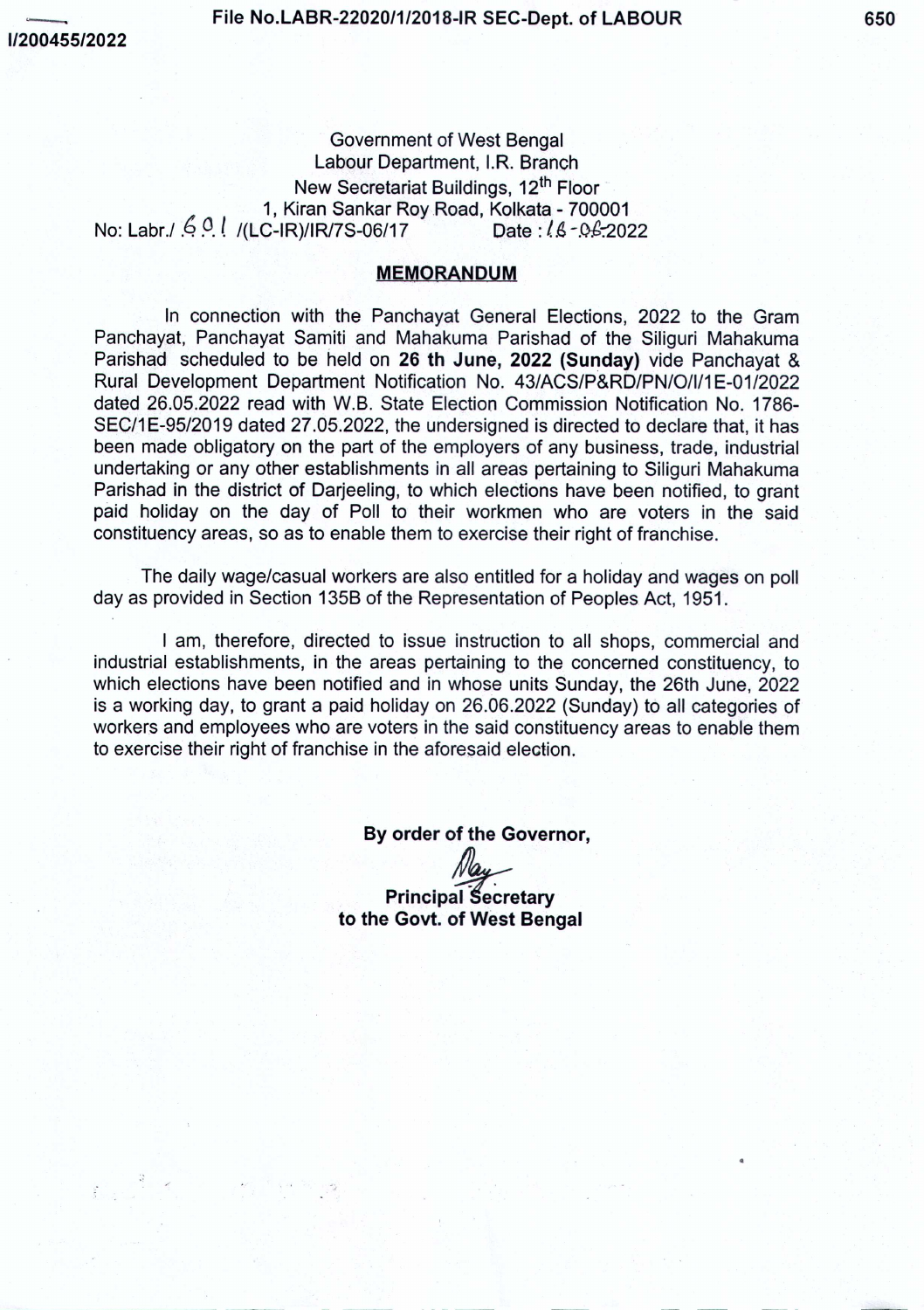Government of West Bengal Labour Department, I,R. Branch New Secretariat Buildings, 12<sup>th</sup> Floor (:; 1, Kiran Sankar RoyRoad, Kolkata - 700001 No: Labr./ ... 0.0.<sup>1</sup> /(LC-IR)/IR/7S-06/17

## **MEMORANDUM**

In connection with the Panchayat General Elections, 2022 to the Gram Panchayat, Panchayat Samiti and Mahakuma Parishad of the Siliguri Mahakuma Parishad scheduled to be held on 26 th June, 2022 (Sunday) vide Panchayat & Rural Development Department Notification No. 43/ACS/P&RD/PN/O/1/1*E-01/2022* dated 26.05.2022 read with W.B. State Election Commission Notification No. 1786- SEC/1E-95/2019 dated 27.05.2022, the undersigned is directed to declare that, it has been made obligatory on the part of the employers of any business, trade, industrial undertaking or any other establishments in all areas pertaining to Siliguri Mahakuma Parishad in the district of Darjeeling, to which elections have been notified, to grant paid holiday on the day of Poll to their workmen who are voters in the said constituency areas, so as to enable them to exercise their right of franchise.

The daily wage/casual workers are also entitled for a holiday and wages on poll day as provided in Section 135B of the Representation of Peoples Act, 1951.

I am, therefore, directed to issue instruction to all shops, commercial and industrial establishments, in the areas pertaining to the concerned constituency, to which elections have been notified and in whose units Sunday, the 26th June, 2022 is a working day, to grant a paid holiday on 26.06.2022 (Sunday) to all categories of workers and employees who are voters in the said constituency areas to enable them to exercise their right of franchise in the aforesaid election.

> By order of the Governor, **Principal Secretary**

to the Govt. of West Bengal